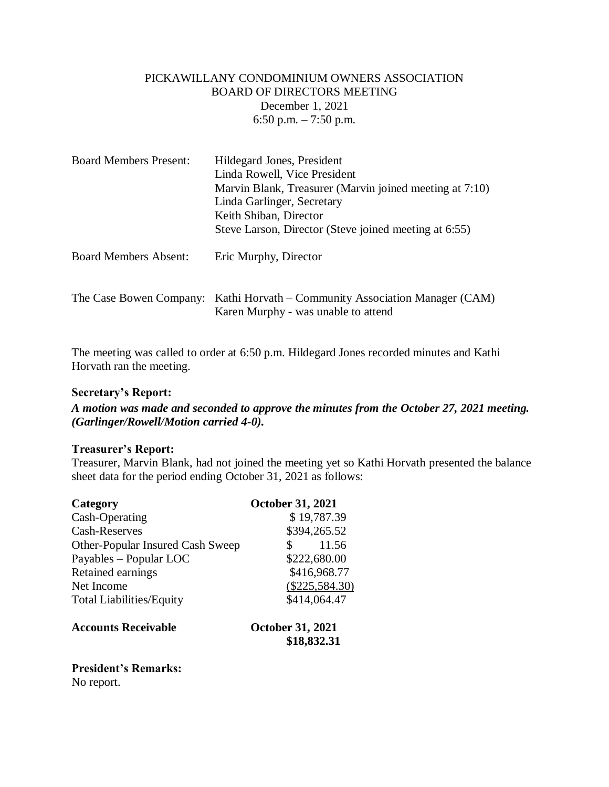## PICKAWILLANY CONDOMINIUM OWNERS ASSOCIATION BOARD OF DIRECTORS MEETING December 1, 2021 6:50 p.m.  $-7:50$  p.m.

| <b>Board Members Present:</b> | Hildegard Jones, President<br>Linda Rowell, Vice President<br>Marvin Blank, Treasurer (Marvin joined meeting at 7:10)<br>Linda Garlinger, Secretary<br>Keith Shiban, Director<br>Steve Larson, Director (Steve joined meeting at 6:55) |
|-------------------------------|----------------------------------------------------------------------------------------------------------------------------------------------------------------------------------------------------------------------------------------|
| <b>Board Members Absent:</b>  | Eric Murphy, Director                                                                                                                                                                                                                  |
| The Case Bowen Company:       | Kathi Horvath – Community Association Manager (CAM)<br>Karen Murphy - was unable to attend                                                                                                                                             |

The meeting was called to order at 6:50 p.m. Hildegard Jones recorded minutes and Kathi Horvath ran the meeting.

#### **Secretary's Report:**

*A motion was made and seconded to approve the minutes from the October 27, 2021 meeting. (Garlinger/Rowell/Motion carried 4-0).*

#### **Treasurer's Report:**

Treasurer, Marvin Blank, had not joined the meeting yet so Kathi Horvath presented the balance sheet data for the period ending October 31, 2021 as follows:

| Category                                | <b>October 31, 2021</b>                |
|-----------------------------------------|----------------------------------------|
| Cash-Operating                          | \$19,787.39                            |
| Cash-Reserves                           | \$394,265.52                           |
| <b>Other-Popular Insured Cash Sweep</b> | 11.56                                  |
| Payables – Popular LOC                  | \$222,680.00                           |
| Retained earnings                       | \$416,968.77                           |
| Net Income                              | $(\$225,584.30)$                       |
| <b>Total Liabilities/Equity</b>         | \$414,064.47                           |
| <b>Accounts Receivable</b>              | <b>October 31, 2021</b><br>\$18,832.31 |
|                                         |                                        |

# **President's Remarks:**

No report.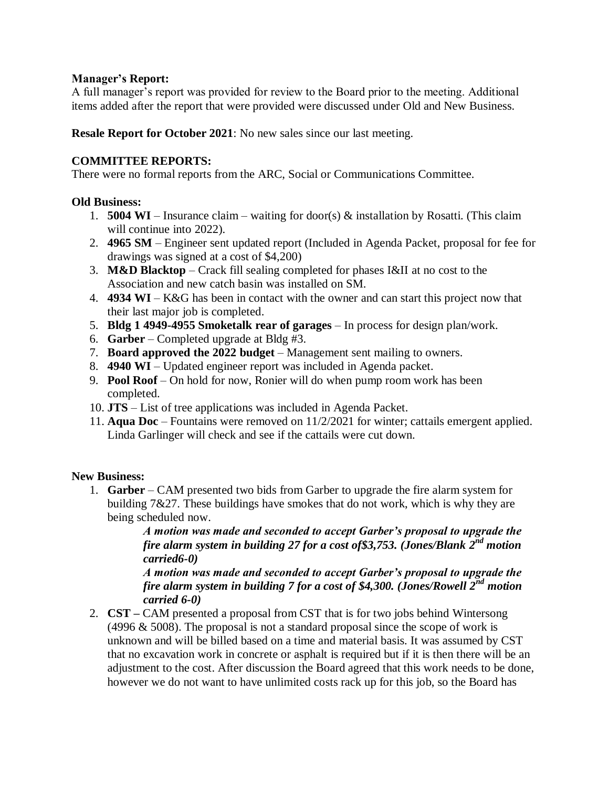### **Manager's Report:**

A full manager's report was provided for review to the Board prior to the meeting. Additional items added after the report that were provided were discussed under Old and New Business.

**Resale Report for October 2021**: No new sales since our last meeting.

# **COMMITTEE REPORTS:**

There were no formal reports from the ARC, Social or Communications Committee.

# **Old Business:**

- 1. **5004 WI** Insurance claim waiting for door(s) & installation by Rosatti. (This claim will continue into 2022).
- 2. **4965 SM** Engineer sent updated report (Included in Agenda Packet, proposal for fee for drawings was signed at a cost of \$4,200)
- 3. **M&D Blacktop** Crack fill sealing completed for phases I&II at no cost to the Association and new catch basin was installed on SM.
- 4. **4934 WI**  K&G has been in contact with the owner and can start this project now that their last major job is completed.
- 5. **Bldg 1 4949-4955 Smoketalk rear of garages** In process for design plan/work.
- 6. **Garber** Completed upgrade at Bldg #3.
- 7. **Board approved the 2022 budget** Management sent mailing to owners.
- 8. **4940 WI**  Updated engineer report was included in Agenda packet.
- 9. **Pool Roof**  On hold for now, Ronier will do when pump room work has been completed.
- 10. **JTS**  List of tree applications was included in Agenda Packet.
- 11. **Aqua Doc**  Fountains were removed on 11/2/2021 for winter; cattails emergent applied. Linda Garlinger will check and see if the cattails were cut down.

# **New Business:**

1. **Garber** – CAM presented two bids from Garber to upgrade the fire alarm system for building 7&27. These buildings have smokes that do not work, which is why they are being scheduled now.

> *A motion was made and seconded to accept Garber's proposal to upgrade the fire alarm system in building 27 for a cost of\$3,753. (Jones/Blank 2 nd motion carried6-0)*

> *A motion was made and seconded to accept Garber's proposal to upgrade the fire alarm system in building 7 for a cost of \$4,300. (Jones/Rowell 2nd motion carried 6-0)*

2. **CST –** CAM presented a proposal from CST that is for two jobs behind Wintersong  $(4996 \& 5008)$ . The proposal is not a standard proposal since the scope of work is unknown and will be billed based on a time and material basis. It was assumed by CST that no excavation work in concrete or asphalt is required but if it is then there will be an adjustment to the cost. After discussion the Board agreed that this work needs to be done, however we do not want to have unlimited costs rack up for this job, so the Board has